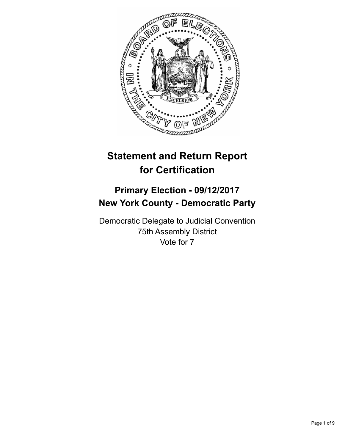

# **Statement and Return Report for Certification**

# **Primary Election - 09/12/2017 New York County - Democratic Party**

Democratic Delegate to Judicial Convention 75th Assembly District Vote for 7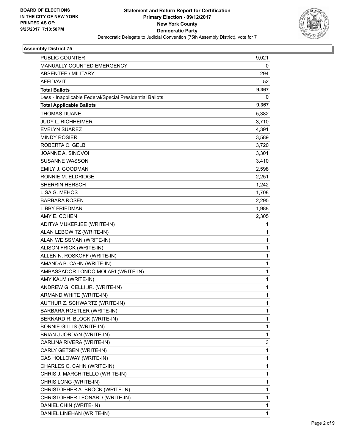

| <b>PUBLIC COUNTER</b>                                    | 9,021 |
|----------------------------------------------------------|-------|
| MANUALLY COUNTED EMERGENCY                               | 0     |
| <b>ABSENTEE / MILITARY</b>                               | 294   |
| <b>AFFIDAVIT</b>                                         | 52    |
| <b>Total Ballots</b>                                     | 9,367 |
| Less - Inapplicable Federal/Special Presidential Ballots | 0     |
| <b>Total Applicable Ballots</b>                          | 9,367 |
| <b>THOMAS DUANE</b>                                      | 5,382 |
| <b>JUDY L. RICHHEIMER</b>                                | 3,710 |
| <b>EVELYN SUAREZ</b>                                     | 4,391 |
| <b>MINDY ROSIER</b>                                      | 3,589 |
| ROBERTA C. GELB                                          | 3,720 |
| JOANNE A. SINOVOI                                        | 3,301 |
| <b>SUSANNE WASSON</b>                                    | 3,410 |
| EMILY J. GOODMAN                                         | 2,598 |
| RONNIE M. ELDRIDGE                                       | 2,251 |
| <b>SHERRIN HERSCH</b>                                    | 1,242 |
| LISA G. MEHOS                                            | 1,708 |
| <b>BARBARA ROSEN</b>                                     | 2,295 |
| LIBBY FRIEDMAN                                           | 1,988 |
| AMY E. COHEN                                             | 2,305 |
| ADITYA MUKERJEE (WRITE-IN)                               | 1     |
| ALAN LEBOWITZ (WRITE-IN)                                 | 1     |
| ALAN WEISSMAN (WRITE-IN)                                 | 1     |
| ALISON FRICK (WRITE-IN)                                  | 1     |
| ALLEN N. ROSKOFF (WRITE-IN)                              | 1     |
| AMANDA B. CAHN (WRITE-IN)                                | 1     |
| AMBASSADOR LONDO MOLARI (WRITE-IN)                       | 1     |
| AMY KALM (WRITE-IN)                                      | 1     |
| ANDREW G. CELLI JR. (WRITE-IN)                           | 1     |
| ARMAND WHITE (WRITE-IN)                                  | 1     |
| AUTHUR Z. SCHWARTZ (WRITE-IN)                            | 1     |
| BARBARA ROETLER (WRITE-IN)                               | 1     |
| BERNARD R. BLOCK (WRITE-IN)                              | 1     |
| <b>BONNIE GILLIS (WRITE-IN)</b>                          | 1     |
| BRIAN J JORDAN (WRITE-IN)                                | 1     |
| CARLINA RIVERA (WRITE-IN)                                | 3     |
| CARLY GETSEN (WRITE-IN)                                  | 1     |
| CAS HOLLOWAY (WRITE-IN)                                  | 1     |
| CHARLES C. CAHN (WRITE-IN)                               | 1     |
| CHRIS J. MARCHITELLO (WRITE-IN)                          | 1     |
| CHRIS LONG (WRITE-IN)                                    | 1     |
| CHRISTOPHER A. BROCK (WRITE-IN)                          | 1     |
| CHRISTOPHER LEONARD (WRITE-IN)                           | 1     |
| DANIEL CHIN (WRITE-IN)                                   | 1     |
| DANIEL LINEHAN (WRITE-IN)                                | 1     |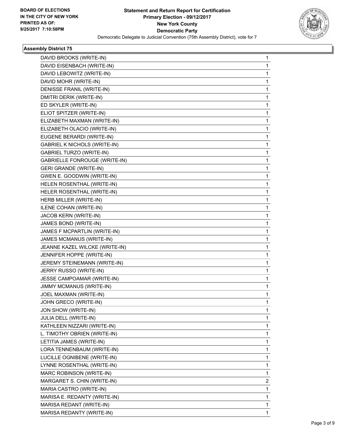

| DAVID BROOKS (WRITE-IN)              | 1 |
|--------------------------------------|---|
| DAVID EISENBACH (WRITE-IN)           | 1 |
| DAVID LEBOWITZ (WRITE-IN)            | 1 |
| DAVID MOHR (WRITE-IN)                | 1 |
| DENISSE FRANIL (WRITE-IN)            | 1 |
| DMITRI DERIK (WRITE-IN)              | 1 |
| ED SKYLER (WRITE-IN)                 | 1 |
| ELIOT SPITZER (WRITE-IN)             | 1 |
| ELIZABETH MAXMAN (WRITE-IN)          | 1 |
| ELIZABETH OLACIO (WRITE-IN)          | 1 |
| EUGENE BERARDI (WRITE-IN)            | 1 |
| GABRIEL K NICHOLS (WRITE-IN)         | 1 |
| <b>GABRIEL TURZO (WRITE-IN)</b>      | 1 |
| <b>GABRIELLE FONROUGE (WRITE-IN)</b> | 1 |
| <b>GERI GRANDE (WRITE-IN)</b>        | 1 |
| GWEN E. GOODWIN (WRITE-IN)           | 1 |
| HELEN ROSENTHAL (WRITE-IN)           | 1 |
| HELER ROSENTHAL (WRITE-IN)           | 1 |
| HERB MILLER (WRITE-IN)               | 1 |
| ILENE COHAN (WRITE-IN)               | 1 |
| JACOB KERN (WRITE-IN)                | 1 |
| JAMES BOND (WRITE-IN)                | 1 |
| JAMES F MCPARTLIN (WRITE-IN)         | 1 |
| JAMES MCMANUS (WRITE-IN)             | 1 |
| JEANNE KAZEL WILCKE (WRITE-IN)       | 1 |
| JENNIFER HOPPE (WRITE-IN)            | 1 |
| JEREMY STEINEMANN (WRITE-IN)         | 1 |
| JERRY RUSSO (WRITE-IN)               | 1 |
| JESSE CAMPOAMAR (WRITE-IN)           | 1 |
| <b>JIMMY MCMANUS (WRITE-IN)</b>      | 1 |
| JOEL MAXMAN (WRITE-IN)               | 1 |
| JOHN GRECO (WRITE-IN)                | 1 |
| JON SHOW (WRITE-IN)                  | 1 |
| JULIA DELL (WRITE-IN)                | 1 |
| KATHLEEN NIZZARI (WRITE-IN)          | 1 |
| L. TIMOTHY OBRIEN (WRITE-IN)         | 1 |
| LETITIA JAMES (WRITE-IN)             | 1 |
| LORA TENNENBAUM (WRITE-IN)           | 1 |
| LUCILLE OGNIBENE (WRITE-IN)          | 1 |
| LYNNE ROSENTHAL (WRITE-IN)           | 1 |
| MARC ROBINSON (WRITE-IN)             | 1 |
| MARGARET S. CHIN (WRITE-IN)          | 2 |
| MARIA CASTRO (WRITE-IN)              | 1 |
| MARISA E. REDANTY (WRITE-IN)         | 1 |
| MARISA REDANT (WRITE-IN)             | 1 |
| MARISA REDANTY (WRITE-IN)            | 1 |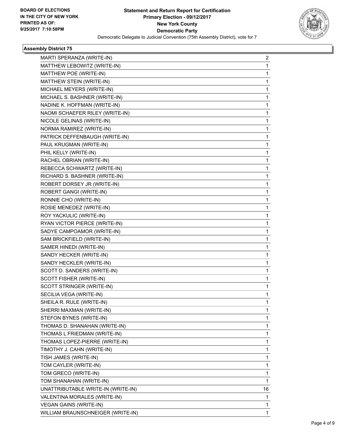

| MARTI SPERANZA (WRITE-IN)          | 2  |
|------------------------------------|----|
| MATTHEW LEBOWITZ (WRITE-IN)        | 1  |
| MATTHEW POE (WRITE-IN)             | 1  |
| MATTHEW STEIN (WRITE-IN)           | 1. |
| MICHAEL MEYERS (WRITE-IN)          | 1  |
| MICHAEL S. BASHNER (WRITE-IN)      | 1  |
| NADINE K. HOFFMAN (WRITE-IN)       | 1. |
| NAOMI SCHAEFER RILEY (WRITE-IN)    | 1  |
| NICOLE GELINAS (WRITE-IN)          | 1  |
| NORMA RAMIREZ (WRITE-IN)           | 1. |
| PATRICK DEFFENBAUGH (WRITE-IN)     | 1  |
| PAUL KRUGMAN (WRITE-IN)            | 1  |
| PHIL KELLY (WRITE-IN)              | 1. |
| RACHEL OBRIAN (WRITE-IN)           | 1  |
| REBECCA SCHWARTZ (WRITE-IN)        | 1  |
| RICHARD S. BASHNER (WRITE-IN)      | 1. |
| ROBERT DORSEY JR (WRITE-IN)        | 1  |
| ROBERT GANGI (WRITE-IN)            | 1  |
| RONNIE CHO (WRITE-IN)              | 1  |
| ROSIE MENEDEZ (WRITE-IN)           | 1  |
| ROY YACKULIC (WRITE-IN)            | 1  |
| RYAN VICTOR PIERCE (WRITE-IN)      | 1. |
| SADYE CAMPOAMOR (WRITE-IN)         | 1  |
| SAM BRICKFIELD (WRITE-IN)          | 1  |
| SAMER HINEDI (WRITE-IN)            | 1  |
| SANDY HECKER (WRITE-IN)            | 1  |
| SANDY HECKLER (WRITE-IN)           | 1  |
| SCOTT D. SANDERS (WRITE-IN)        | 1. |
| SCOTT FISHER (WRITE-IN)            | 1  |
| SCOTT STRINGER (WRITE-IN)          | 1  |
| SECILIA VEGA (WRITE-IN)            | 1  |
| SHEILA R. RULE (WRITE-IN)          | 1  |
| SHERRI MAXMAN (WRITE-IN)           | 1  |
| STEFON BYNES (WRITE-IN)            | 1. |
| THOMAS D. SHANAHAN (WRITE-IN)      | 1  |
| THOMAS L FRIEDMAN (WRITE-IN)       | 1  |
| THOMAS LOPEZ-PIERRE (WRITE-IN)     | 1. |
| TIMOTHY J. CAHN (WRITE-IN)         | 1  |
| TISH JAMES (WRITE-IN)              | 1  |
| TOM CAYLER (WRITE-IN)              | 1. |
| TOM GRECO (WRITE-IN)               | 1  |
| TOM SHANAHAN (WRITE-IN)            | 1  |
| UNATTRIBUTABLE WRITE-IN (WRITE-IN) | 16 |
| VALENTINA MORALES (WRITE-IN)       | 1  |
| <b>VEGAN GAINS (WRITE-IN)</b>      | 1  |
| WILLIAM BRAUNSCHNEIGER (WRITE-IN)  | 1  |
|                                    |    |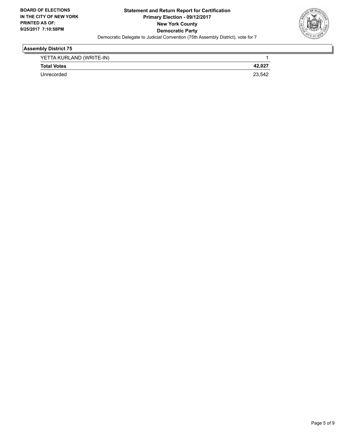

| YETTA KURLAND (WRITE-IN) |        |
|--------------------------|--------|
| <b>Total Votes</b>       | 42,02  |
| Unrecorded               | 23.542 |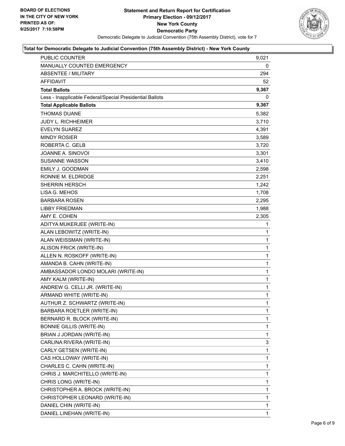

| <b>PUBLIC COUNTER</b>                                    | 9,021        |
|----------------------------------------------------------|--------------|
| MANUALLY COUNTED EMERGENCY                               | 0            |
| <b>ABSENTEE / MILITARY</b>                               | 294          |
| AFFIDAVIT                                                | 52           |
| <b>Total Ballots</b>                                     | 9,367        |
| Less - Inapplicable Federal/Special Presidential Ballots | 0            |
| <b>Total Applicable Ballots</b>                          | 9,367        |
| <b>THOMAS DUANE</b>                                      | 5,382        |
| <b>JUDY L. RICHHEIMER</b>                                | 3,710        |
| <b>EVELYN SUAREZ</b>                                     | 4,391        |
| <b>MINDY ROSIER</b>                                      | 3,589        |
| ROBERTA C. GELB                                          | 3,720        |
| JOANNE A. SINOVOI                                        | 3,301        |
| <b>SUSANNE WASSON</b>                                    | 3,410        |
| EMILY J. GOODMAN                                         | 2,598        |
| RONNIE M. ELDRIDGE                                       | 2,251        |
| <b>SHERRIN HERSCH</b>                                    | 1,242        |
| LISA G. MEHOS                                            | 1,708        |
| <b>BARBARA ROSEN</b>                                     | 2,295        |
| <b>LIBBY FRIEDMAN</b>                                    | 1,988        |
| AMY E. COHEN                                             | 2,305        |
| ADITYA MUKERJEE (WRITE-IN)                               | 1            |
| ALAN LEBOWITZ (WRITE-IN)                                 | 1            |
| ALAN WEISSMAN (WRITE-IN)                                 | 1            |
| ALISON FRICK (WRITE-IN)                                  | 1            |
| ALLEN N. ROSKOFF (WRITE-IN)                              | 1            |
| AMANDA B. CAHN (WRITE-IN)                                | 1            |
| AMBASSADOR LONDO MOLARI (WRITE-IN)                       | $\mathbf 1$  |
| AMY KALM (WRITE-IN)                                      | 1            |
| ANDREW G. CELLI JR. (WRITE-IN)                           | 1            |
| ARMAND WHITE (WRITE-IN)                                  | 1            |
| AUTHUR Z. SCHWARTZ (WRITE-IN)                            | $\mathbf{1}$ |
| BARBARA ROETLER (WRITE-IN)                               | 1            |
| BERNARD R. BLOCK (WRITE-IN)                              | 1            |
| <b>BONNIE GILLIS (WRITE-IN)</b>                          | 1            |
| BRIAN J JORDAN (WRITE-IN)                                | 1            |
| CARLINA RIVERA (WRITE-IN)                                | 3            |
| CARLY GETSEN (WRITE-IN)                                  | 1            |
| CAS HOLLOWAY (WRITE-IN)                                  | 1            |
| CHARLES C. CAHN (WRITE-IN)                               | 1            |
| CHRIS J. MARCHITELLO (WRITE-IN)                          | 1            |
| CHRIS LONG (WRITE-IN)                                    | 1            |
| CHRISTOPHER A. BROCK (WRITE-IN)                          | 1            |
| CHRISTOPHER LEONARD (WRITE-IN)                           | 1            |
| DANIEL CHIN (WRITE-IN)                                   | $\mathbf 1$  |
| DANIEL LINEHAN (WRITE-IN)                                | 1            |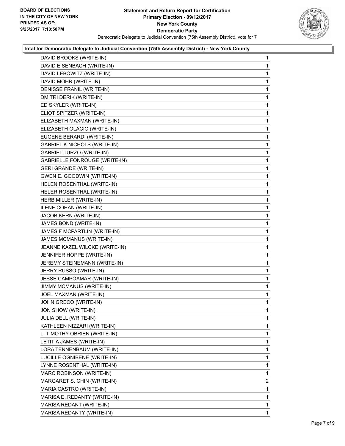

| DAVID BROOKS (WRITE-IN)              | 1              |
|--------------------------------------|----------------|
| DAVID EISENBACH (WRITE-IN)           | 1              |
| DAVID LEBOWITZ (WRITE-IN)            | 1              |
| DAVID MOHR (WRITE-IN)                | 1              |
| DENISSE FRANIL (WRITE-IN)            | 1              |
| DMITRI DERIK (WRITE-IN)              | 1              |
| ED SKYLER (WRITE-IN)                 | 1              |
| ELIOT SPITZER (WRITE-IN)             | 1              |
| ELIZABETH MAXMAN (WRITE-IN)          | 1              |
| ELIZABETH OLACIO (WRITE-IN)          | 1              |
| EUGENE BERARDI (WRITE-IN)            | 1              |
| <b>GABRIEL K NICHOLS (WRITE-IN)</b>  | 1              |
| <b>GABRIEL TURZO (WRITE-IN)</b>      | 1              |
| <b>GABRIELLE FONROUGE (WRITE-IN)</b> | 1              |
| <b>GERI GRANDE (WRITE-IN)</b>        | 1              |
| GWEN E. GOODWIN (WRITE-IN)           | 1              |
| HELEN ROSENTHAL (WRITE-IN)           | 1              |
| HELER ROSENTHAL (WRITE-IN)           | 1              |
| HERB MILLER (WRITE-IN)               | 1              |
| ILENE COHAN (WRITE-IN)               | 1              |
| JACOB KERN (WRITE-IN)                | 1              |
| JAMES BOND (WRITE-IN)                | 1              |
| JAMES F MCPARTLIN (WRITE-IN)         | 1              |
| JAMES MCMANUS (WRITE-IN)             | 1              |
| JEANNE KAZEL WILCKE (WRITE-IN)       | 1              |
| JENNIFER HOPPE (WRITE-IN)            | 1              |
| JEREMY STEINEMANN (WRITE-IN)         | 1              |
| JERRY RUSSO (WRITE-IN)               | 1              |
| JESSE CAMPOAMAR (WRITE-IN)           | 1              |
| JIMMY MCMANUS (WRITE-IN)             | 1              |
| JOEL MAXMAN (WRITE-IN)               | 1              |
| JOHN GRECO (WRITE-IN)                | 1              |
| JON SHOW (WRITE-IN)                  | 1              |
| <b>JULIA DELL (WRITE-IN)</b>         | 1              |
| KATHLEEN NIZZARI (WRITE-IN)          | 1              |
| L. TIMOTHY OBRIEN (WRITE-IN)         | 1              |
| LETITIA JAMES (WRITE-IN)             | 1              |
| LORA TENNENBAUM (WRITE-IN)           | 1              |
| LUCILLE OGNIBENE (WRITE-IN)          | 1              |
| LYNNE ROSENTHAL (WRITE-IN)           | 1              |
| MARC ROBINSON (WRITE-IN)             | 1              |
| MARGARET S. CHIN (WRITE-IN)          | $\overline{2}$ |
| MARIA CASTRO (WRITE-IN)              | 1              |
| MARISA E. REDANTY (WRITE-IN)         | 1              |
| MARISA REDANT (WRITE-IN)             | 1              |
| MARISA REDANTY (WRITE-IN)            | 1              |
|                                      |                |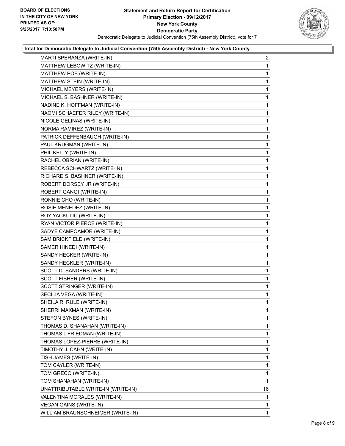

| MARTI SPERANZA (WRITE-IN)          | $\mathbf{2}$ |
|------------------------------------|--------------|
| MATTHEW LEBOWITZ (WRITE-IN)        | 1            |
| MATTHEW POE (WRITE-IN)             | 1            |
| MATTHEW STEIN (WRITE-IN)           | 1            |
| MICHAEL MEYERS (WRITE-IN)          | 1            |
| MICHAEL S. BASHNER (WRITE-IN)      | 1            |
| NADINE K. HOFFMAN (WRITE-IN)       | 1            |
| NAOMI SCHAEFER RILEY (WRITE-IN)    | 1            |
| NICOLE GELINAS (WRITE-IN)          | 1            |
| NORMA RAMIREZ (WRITE-IN)           | 1            |
| PATRICK DEFFENBAUGH (WRITE-IN)     | 1            |
| PAUL KRUGMAN (WRITE-IN)            | 1            |
| PHIL KELLY (WRITE-IN)              | 1            |
| RACHEL OBRIAN (WRITE-IN)           | 1            |
| REBECCA SCHWARTZ (WRITE-IN)        | 1            |
| RICHARD S. BASHNER (WRITE-IN)      | 1            |
| ROBERT DORSEY JR (WRITE-IN)        | 1            |
| ROBERT GANGI (WRITE-IN)            | 1            |
| RONNIE CHO (WRITE-IN)              | 1            |
| ROSIE MENEDEZ (WRITE-IN)           | 1            |
| ROY YACKULIC (WRITE-IN)            | 1            |
| RYAN VICTOR PIERCE (WRITE-IN)      | 1            |
| SADYE CAMPOAMOR (WRITE-IN)         | 1            |
| SAM BRICKFIELD (WRITE-IN)          | 1            |
| SAMER HINEDI (WRITE-IN)            | 1            |
| SANDY HECKER (WRITE-IN)            | 1            |
| SANDY HECKLER (WRITE-IN)           | 1            |
| SCOTT D. SANDERS (WRITE-IN)        | 1            |
| SCOTT FISHER (WRITE-IN)            | 1            |
| SCOTT STRINGER (WRITE-IN)          | 1            |
| SECILIA VEGA (WRITE-IN)            | 1            |
| SHEILA R. RULE (WRITE-IN)          | 1            |
| SHERRI MAXMAN (WRITE-IN)           | 1            |
| STEFON BYNES (WRITE-IN)            | 1            |
| THOMAS D. SHANAHAN (WRITE-IN)      | 1            |
| THOMAS L FRIEDMAN (WRITE-IN)       | 1            |
| THOMAS LOPEZ-PIERRE (WRITE-IN)     | 1            |
| TIMOTHY J. CAHN (WRITE-IN)         | 1            |
| TISH JAMES (WRITE-IN)              | 1            |
| TOM CAYLER (WRITE-IN)              | 1            |
| TOM GRECO (WRITE-IN)               | 1            |
| TOM SHANAHAN (WRITE-IN)            | 1            |
| UNATTRIBUTABLE WRITE-IN (WRITE-IN) | 16           |
| VALENTINA MORALES (WRITE-IN)       | 1            |
| <b>VEGAN GAINS (WRITE-IN)</b>      | 1            |
| WILLIAM BRAUNSCHNEIGER (WRITE-IN)  | 1.           |
|                                    |              |